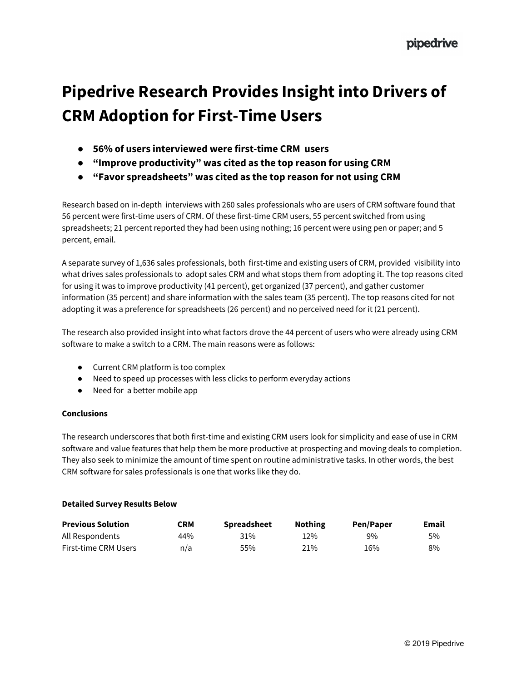# **Pipedrive Research Provides Insight into Drivers of CRM Adoption for First-Time Users**

- **● 56% of users interviewed were first-time CRM users**
- **● "Improve productivity" was cited as the top reason for using CRM**
- **● "Favor spreadsheets" was cited as the top reason for not using CRM**

Research based on in-depth interviews with 260 sales professionals who are users of CRM software found that 56 percent were first-time users of CRM. Of these first-time CRM users, 55 percent switched from using spreadsheets; 21 percent reported they had been using nothing; 16 percent were using pen or paper; and 5 percent, email.

A separate survey of 1,636 sales professionals, both first-time and existing users of CRM, provided visibility into what drives sales professionals to adopt sales CRM and what stops them from adopting it. The top reasons cited for using it was to improve productivity (41 percent), get organized (37 percent), and gather customer information (35 percent) and share information with the sales team (35 percent). The top reasons cited for not adopting it was a preference for spreadsheets (26 percent) and no perceived need for it (21 percent).

The research also provided insight into what factors drove the 44 percent of users who were already using CRM software to make a switch to a CRM. The main reasons were as follows:

- Current CRM platform is too complex
- Need to speed up processes with less clicks to perform everyday actions
- Need for a better mobile app

### **Conclusions**

The research underscores that both first-time and existing CRM users look for simplicity and ease of use in CRM software and value features that help them be more productive at prospecting and moving deals to completion. They also seek to minimize the amount of time spent on routine administrative tasks. In other words, the best CRM software for sales professionals is one that works like they do.

### **Detailed Survey Results Below**

| <b>Previous Solution</b>    | CRM | <b>Spreadsheet</b> | <b>Nothing</b> | Pen/Paper | Email |
|-----------------------------|-----|--------------------|----------------|-----------|-------|
| All Respondents             | 44% | 31%                | 12%            | 9%        | 5%    |
| <b>First-time CRM Users</b> | n/a | 55%                | 21%            | 16%       | 8%    |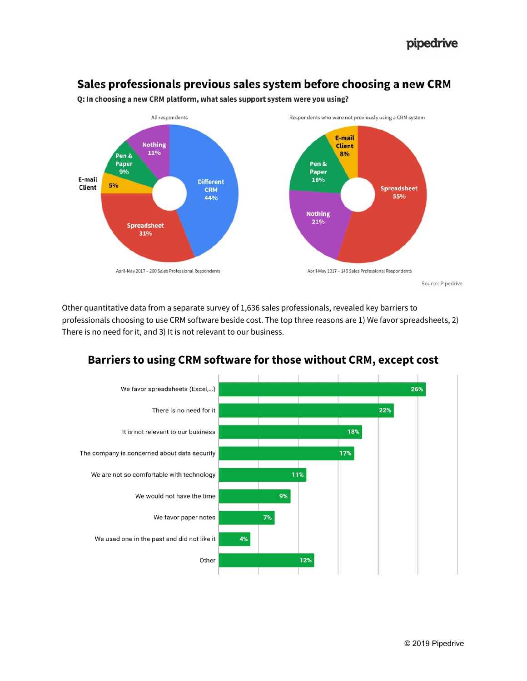## Sales professionals previous sales system before choosing a new CRM



Q: In choosing a new CRM platform, what sales support system were you using?

Other quantitative data from a separate survey of 1,636 sales professionals, revealed key barriers to professionals choosing to use CRM software beside cost. The top three reasons are 1) We favor spreadsheets, 2) There is no need for it, and 3) It is not relevant to our business.



## **Barriers to using CRM software for those without CRM, except cost**